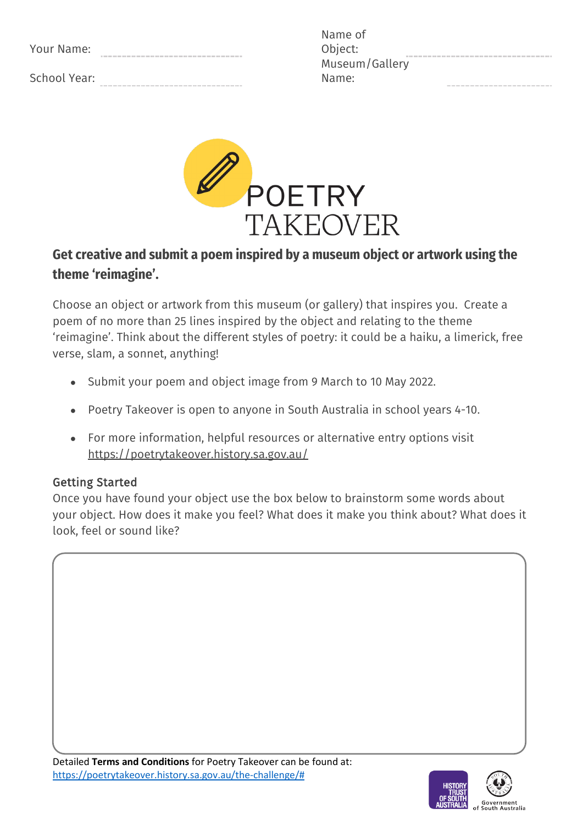| Your Name:   |  |
|--------------|--|
| School Year: |  |

| Name of        |
|----------------|
| Object:        |
| Museum/Gallery |
| Name:          |



# **Get creative and submit a poem inspired by a museum object or artwork using the theme 'reimagine'.**

Choose an object or artwork from this museum (or gallery) that inspires you. Create a poem of no more than 25 lines inspired by the object and relating to the theme 'reimagine'. Think about the different styles of poetry: it could be a haiku, a limerick, free verse, slam, a sonnet, anything!

- Submit your poem and object image from 9 March to 10 May 2022.
- Poetry Takeover is open to anyone in South Australia in school years 4-10.
- For more information, helpful resources or alternative entry options visit https://poetrytakeover.history.sa.gov.au/

## Getting Started

Once you have found your object use the box below to brainstorm some words about your object. How does it make you feel? What does it make you think about? What does it look, feel or sound like?